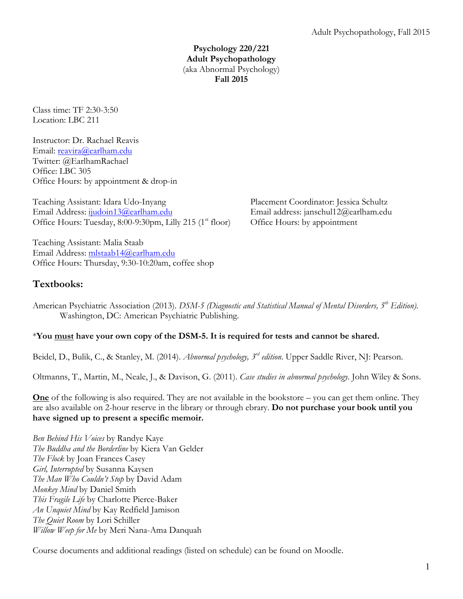**Psychology 220/221 Adult Psychopathology** (aka Abnormal Psychology) **Fall 2015**

Class time: TF 2:30-3:50 Location: LBC 211

Instructor: Dr. Rachael Reavis Email: reavira@earlham.edu Twitter: @EarlhamRachael Office: LBC 305 Office Hours: by appointment & drop-in

Teaching Assistant: Idara Udo-Inyang Placement Coordinator: Jessica Schultz Email Address: ijudoin13@earlham.edu Email address: janschul12@earlham.edu Office Hours: Tuesday, 8:00-9:30pm, Lilly 215 (1<sup>st</sup> floor) Office Hours: by appointment

Teaching Assistant: Malia Staab Email Address: mlstaab14@earlham.edu Office Hours: Thursday, 9:30-10:20am, coffee shop

# **Textbooks:**

American Psychiatric Association (2013). *DSM-5 (Diagnostic and Statistical Manual of Mental Disorders, 5<sup>th</sup> Edition)*. Washington, DC: American Psychiatric Publishing.

# \***You must have your own copy of the DSM-5. It is required for tests and cannot be shared.**

Beidel, D., Bulik, C., & Stanley, M. (2014). *Abnormal psychology, 3rd edition*. Upper Saddle River, NJ: Pearson.

Oltmanns, T., Martin, M., Neale, J., & Davison, G. (2011). *Case studies in abnormal psychology.* John Wiley & Sons.

**One** of the following is also required. They are not available in the bookstore – you can get them online. They are also available on 2-hour reserve in the library or through ebrary. **Do not purchase your book until you have signed up to present a specific memoir.**

*Ben Behind His Voices* by Randye Kaye *The Buddha and the Borderline* by Kiera Van Gelder *The Flock* by Joan Frances Casey *Girl, Interrupted* by Susanna Kaysen *The Man Who Couldn't Stop* by David Adam *Monkey Mind* by Daniel Smith *This Fragile Life* by Charlotte Pierce-Baker *An Unquiet Mind* by Kay Redfield Jamison *The Quiet Room* by Lori Schiller *Willow Weep for Me* by Meri Nana-Ama Danquah

Course documents and additional readings (listed on schedule) can be found on Moodle.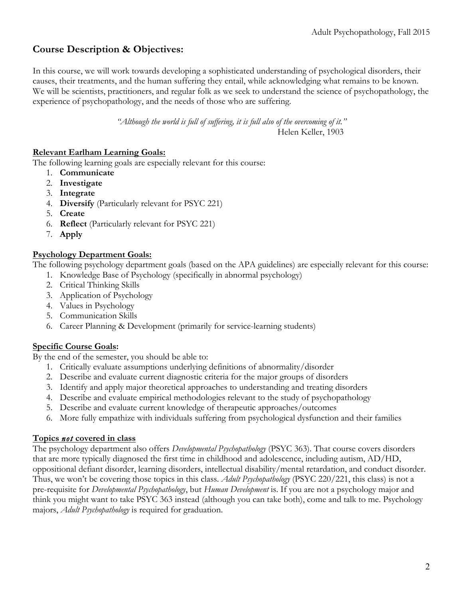# **Course Description & Objectives:**

In this course, we will work towards developing a sophisticated understanding of psychological disorders, their causes, their treatments, and the human suffering they entail, while acknowledging what remains to be known. We will be scientists, practitioners, and regular folk as we seek to understand the science of psychopathology, the experience of psychopathology, and the needs of those who are suffering.

> *"Although the world is full of suffering, it is full also of the overcoming of it."* Helen Keller, 1903

### **Relevant Earlham Learning Goals:**

The following learning goals are especially relevant for this course:

- 1. **Communicate**
- 2. **Investigate**
- 3. **Integrate**
- 4. **Diversify** (Particularly relevant for PSYC 221)
- 5. **Create**
- 6. **Reflect** (Particularly relevant for PSYC 221)
- 7. **Apply**

### **Psychology Department Goals:**

The following psychology department goals (based on the APA guidelines) are especially relevant for this course:

- 1. Knowledge Base of Psychology (specifically in abnormal psychology)
- 2. Critical Thinking Skills
- 3. Application of Psychology
- 4. Values in Psychology
- 5. Communication Skills
- 6. Career Planning & Development (primarily for service-learning students)

### **Specific Course Goals:**

By the end of the semester, you should be able to:

- 1. Critically evaluate assumptions underlying definitions of abnormality/disorder
- 2. Describe and evaluate current diagnostic criteria for the major groups of disorders
- 3. Identify and apply major theoretical approaches to understanding and treating disorders
- 4. Describe and evaluate empirical methodologies relevant to the study of psychopathology
- 5. Describe and evaluate current knowledge of therapeutic approaches/outcomes
- 6. More fully empathize with individuals suffering from psychological dysfunction and their families

### **Topics** *not* **covered in class**

The psychology department also offers *Developmental Psychopathology* (PSYC 363). That course covers disorders that are more typically diagnosed the first time in childhood and adolescence, including autism, AD/HD, oppositional defiant disorder, learning disorders, intellectual disability/mental retardation, and conduct disorder. Thus, we won't be covering those topics in this class. *Adult Psychopathology* (PSYC 220/221, this class) is not a pre-requisite for *Developmental Psychopathology*, but *Human Development* is. If you are not a psychology major and think you might want to take PSYC 363 instead (although you can take both), come and talk to me. Psychology majors, *Adult Psychopathology* is required for graduation.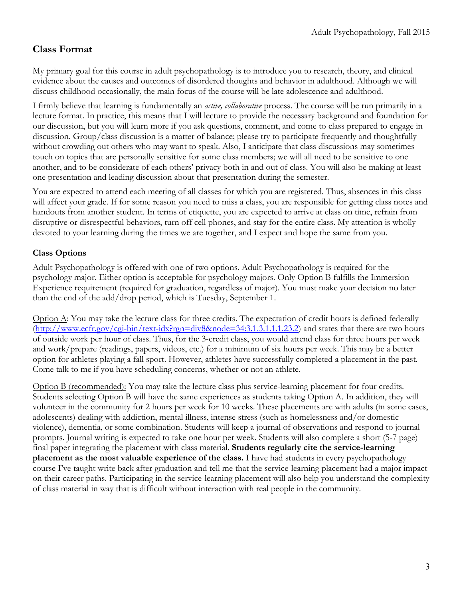# **Class Format**

My primary goal for this course in adult psychopathology is to introduce you to research, theory, and clinical evidence about the causes and outcomes of disordered thoughts and behavior in adulthood. Although we will discuss childhood occasionally, the main focus of the course will be late adolescence and adulthood.

I firmly believe that learning is fundamentally an *active, collaborative* process. The course will be run primarily in a lecture format. In practice, this means that I will lecture to provide the necessary background and foundation for our discussion, but you will learn more if you ask questions, comment, and come to class prepared to engage in discussion. Group/class discussion is a matter of balance; please try to participate frequently and thoughtfully without crowding out others who may want to speak. Also, I anticipate that class discussions may sometimes touch on topics that are personally sensitive for some class members; we will all need to be sensitive to one another, and to be considerate of each others' privacy both in and out of class. You will also be making at least one presentation and leading discussion about that presentation during the semester.

You are expected to attend each meeting of all classes for which you are registered. Thus, absences in this class will affect your grade. If for some reason you need to miss a class, you are responsible for getting class notes and handouts from another student. In terms of etiquette, you are expected to arrive at class on time, refrain from disruptive or disrespectful behaviors, turn off cell phones, and stay for the entire class. My attention is wholly devoted to your learning during the times we are together, and I expect and hope the same from you.

### **Class Options**

Adult Psychopathology is offered with one of two options. Adult Psychopathology is required for the psychology major. Either option is acceptable for psychology majors. Only Option B fulfills the Immersion Experience requirement (required for graduation, regardless of major). You must make your decision no later than the end of the add/drop period, which is Tuesday, September 1.

Option A: You may take the lecture class for three credits. The expectation of credit hours is defined federally (http://www.ecfr.gov/cgi-bin/text-idx?rgn=div8&node=34:3.1.3.1.1.1.23.2) and states that there are two hours of outside work per hour of class. Thus, for the 3-credit class, you would attend class for three hours per week and work/prepare (readings, papers, videos, etc.) for a minimum of six hours per week. This may be a better option for athletes playing a fall sport. However, athletes have successfully completed a placement in the past. Come talk to me if you have scheduling concerns, whether or not an athlete.

Option B (recommended): You may take the lecture class plus service-learning placement for four credits. Students selecting Option B will have the same experiences as students taking Option A. In addition, they will volunteer in the community for 2 hours per week for 10 weeks. These placements are with adults (in some cases, adolescents) dealing with addiction, mental illness, intense stress (such as homelessness and/or domestic violence), dementia, or some combination. Students will keep a journal of observations and respond to journal prompts. Journal writing is expected to take one hour per week. Students will also complete a short (5-7 page) final paper integrating the placement with class material. **Students regularly cite the service-learning placement as the most valuable experience of the class.** I have had students in every psychopathology course I've taught write back after graduation and tell me that the service-learning placement had a major impact on their career paths. Participating in the service-learning placement will also help you understand the complexity of class material in way that is difficult without interaction with real people in the community.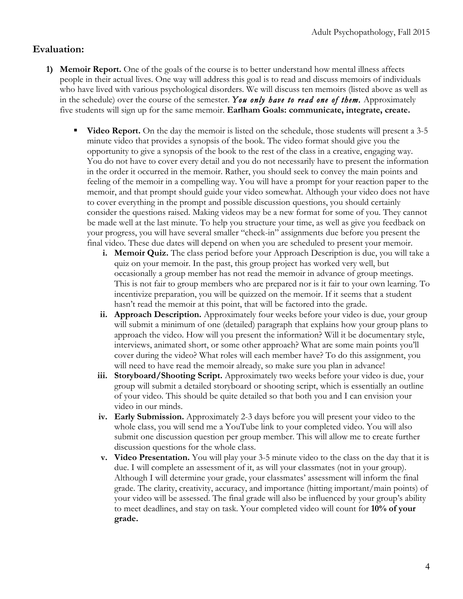# **Evaluation:**

- **1) Memoir Report.** One of the goals of the course is to better understand how mental illness affects people in their actual lives. One way will address this goal is to read and discuss memoirs of individuals who have lived with various psychological disorders. We will discuss ten memoirs (listed above as well as in the schedule) over the course of the semester. *You only have to read one of them.* Approximately five students will sign up for the same memoir. **Earlham Goals: communicate, integrate, create.**
	- **Video Report.** On the day the memoir is listed on the schedule, those students will present a 3-5 minute video that provides a synopsis of the book. The video format should give you the opportunity to give a synopsis of the book to the rest of the class in a creative, engaging way. You do not have to cover every detail and you do not necessarily have to present the information in the order it occurred in the memoir. Rather, you should seek to convey the main points and feeling of the memoir in a compelling way. You will have a prompt for your reaction paper to the memoir, and that prompt should guide your video somewhat. Although your video does not have to cover everything in the prompt and possible discussion questions, you should certainly consider the questions raised. Making videos may be a new format for some of you. They cannot be made well at the last minute. To help you structure your time, as well as give you feedback on your progress, you will have several smaller "check-in" assignments due before you present the final video. These due dates will depend on when you are scheduled to present your memoir.
		- **i. Memoir Quiz.** The class period before your Approach Description is due, you will take a quiz on your memoir. In the past, this group project has worked very well, but occasionally a group member has not read the memoir in advance of group meetings. This is not fair to group members who are prepared nor is it fair to your own learning. To incentivize preparation, you will be quizzed on the memoir. If it seems that a student hasn't read the memoir at this point, that will be factored into the grade.
		- **ii. Approach Description.** Approximately four weeks before your video is due, your group will submit a minimum of one (detailed) paragraph that explains how your group plans to approach the video. How will you present the information? Will it be documentary style, interviews, animated short, or some other approach? What are some main points you'll cover during the video? What roles will each member have? To do this assignment, you will need to have read the memoir already, so make sure you plan in advance!
		- **iii. Storyboard/Shooting Script.** Approximately two weeks before your video is due, your group will submit a detailed storyboard or shooting script, which is essentially an outline of your video. This should be quite detailed so that both you and I can envision your video in our minds.
		- **iv. Early Submission.** Approximately 2-3 days before you will present your video to the whole class, you will send me a YouTube link to your completed video. You will also submit one discussion question per group member. This will allow me to create further discussion questions for the whole class.
		- **v. Video Presentation.** You will play your 3-5 minute video to the class on the day that it is due. I will complete an assessment of it, as will your classmates (not in your group). Although I will determine your grade, your classmates' assessment will inform the final grade. The clarity, creativity, accuracy, and importance (hitting important/main points) of your video will be assessed. The final grade will also be influenced by your group's ability to meet deadlines, and stay on task. Your completed video will count for **10% of your grade.**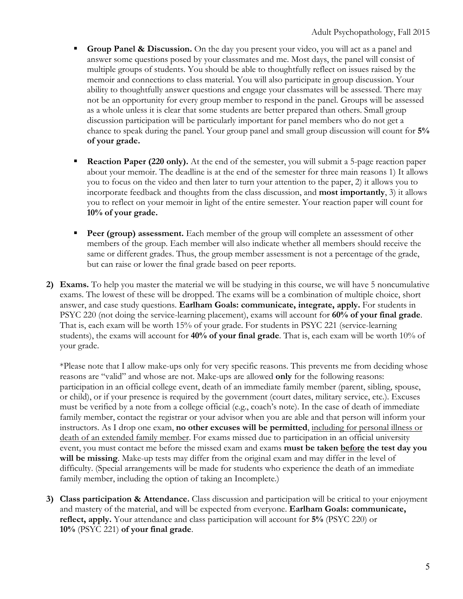- **Group Panel & Discussion.** On the day you present your video, you will act as a panel and answer some questions posed by your classmates and me. Most days, the panel will consist of multiple groups of students. You should be able to thoughtfully reflect on issues raised by the memoir and connections to class material. You will also participate in group discussion. Your ability to thoughtfully answer questions and engage your classmates will be assessed. There may not be an opportunity for every group member to respond in the panel. Groups will be assessed as a whole unless it is clear that some students are better prepared than others. Small group discussion participation will be particularly important for panel members who do not get a chance to speak during the panel. Your group panel and small group discussion will count for **5% of your grade.**
- **Reaction Paper (220 only).** At the end of the semester, you will submit a 5-page reaction paper about your memoir. The deadline is at the end of the semester for three main reasons 1) It allows you to focus on the video and then later to turn your attention to the paper, 2) it allows you to incorporate feedback and thoughts from the class discussion, and **most importantly**, 3) it allows you to reflect on your memoir in light of the entire semester. Your reaction paper will count for **10% of your grade.**
- **Peer (group) assessment.** Each member of the group will complete an assessment of other members of the group. Each member will also indicate whether all members should receive the same or different grades. Thus, the group member assessment is not a percentage of the grade, but can raise or lower the final grade based on peer reports.
- **2) Exams.** To help you master the material we will be studying in this course, we will have 5 noncumulative exams. The lowest of these will be dropped. The exams will be a combination of multiple choice, short answer, and case study questions. **Earlham Goals: communicate, integrate, apply.** For students in PSYC 220 (not doing the service-learning placement), exams will account for **60% of your final grade**. That is, each exam will be worth 15% of your grade. For students in PSYC 221 (service-learning students), the exams will account for **40% of your final grade**. That is, each exam will be worth 10% of your grade.

\*Please note that I allow make-ups only for very specific reasons. This prevents me from deciding whose reasons are "valid" and whose are not. Make-ups are allowed **only** for the following reasons: participation in an official college event, death of an immediate family member (parent, sibling, spouse, or child), or if your presence is required by the government (court dates, military service, etc.). Excuses must be verified by a note from a college official (e.g., coach's note). In the case of death of immediate family member, contact the registrar or your advisor when you are able and that person will inform your instructors. As I drop one exam, **no other excuses will be permitted**, including for personal illness or death of an extended family member. For exams missed due to participation in an official university event, you must contact me before the missed exam and exams **must be taken before the test day you will be missing**. Make-up tests may differ from the original exam and may differ in the level of difficulty. (Special arrangements will be made for students who experience the death of an immediate family member, including the option of taking an Incomplete.)

**3) Class participation & Attendance.** Class discussion and participation will be critical to your enjoyment and mastery of the material, and will be expected from everyone. **Earlham Goals: communicate, reflect, apply.** Your attendance and class participation will account for **5%** (PSYC 220) or **10%** (PSYC 221) **of your final grade**.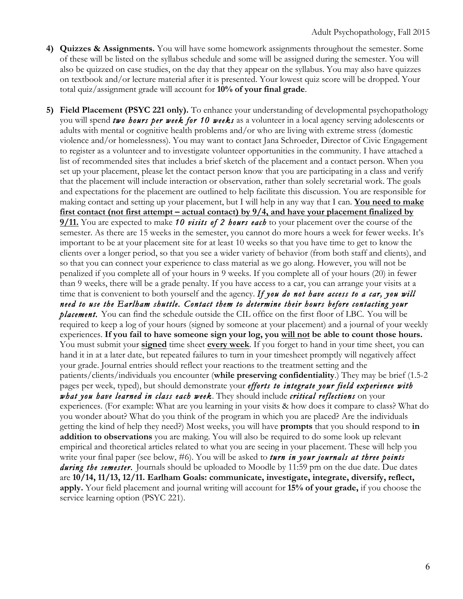- **4) Quizzes & Assignments.** You will have some homework assignments throughout the semester. Some of these will be listed on the syllabus schedule and some will be assigned during the semester. You will also be quizzed on case studies, on the day that they appear on the syllabus. You may also have quizzes on textbook and/or lecture material after it is presented. Your lowest quiz score will be dropped. Your total quiz/assignment grade will account for **10% of your final grade**.
- **5) Field Placement (PSYC 221 only).** To enhance your understanding of developmental psychopathology you will spend *two hours per week for 10 weeks* as a volunteer in a local agency serving adolescents or adults with mental or cognitive health problems and/or who are living with extreme stress (domestic violence and/or homelessness). You may want to contact Jana Schroeder, Director of Civic Engagement to register as a volunteer and to investigate volunteer opportunities in the community. I have attached a list of recommended sites that includes a brief sketch of the placement and a contact person. When you set up your placement, please let the contact person know that you are participating in a class and verify that the placement will include interaction or observation, rather than solely secretarial work. The goals and expectations for the placement are outlined to help facilitate this discussion. You are responsible for making contact and setting up your placement, but I will help in any way that I can. **You need to make first contact (not first attempt – actual contact) by 9/4, and have your placement finalized by 9/11.** You are expected to make *10 visits of 2 hours each* to your placement over the course of the semester. As there are 15 weeks in the semester, you cannot do more hours a week for fewer weeks. It's important to be at your placement site for at least 10 weeks so that you have time to get to know the clients over a longer period, so that you see a wider variety of behavior (from both staff and clients), and so that you can connect your experience to class material as we go along. However, you will not be penalized if you complete all of your hours in 9 weeks. If you complete all of your hours (20) in fewer than 9 weeks, there will be a grade penalty. If you have access to a car, you can arrange your visits at a time that is convenient to both yourself and the agency. *If you do not have access to a car, you will need to use the Earlham shuttle. Contact them to determine their hours before contacting your placement.* You can find the schedule outside the CIL office on the first floor of LBC.You will be required to keep a log of your hours (signed by someone at your placement) and a journal of your weekly experiences. **If you fail to have someone sign your log, you will not be able to count those hours.**  You must submit your **signed** time sheet **every week**. If you forget to hand in your time sheet, you can hand it in at a later date, but repeated failures to turn in your timesheet promptly will negatively affect your grade. Journal entries should reflect your reactions to the treatment setting and the patients/clients/individuals you encounter (**while preserving confidentiality**.) They may be brief (1.5-2 pages per week, typed), but should demonstrate your *efforts to integrate your field experience with what you have learned in class each week*. They should include *critical reflections* on your experiences. (For example: What are you learning in your visits & how does it compare to class? What do you wonder about? What do you think of the program in which you are placed? Are the individuals getting the kind of help they need?) Most weeks, you will have **prompts** that you should respond to **in addition to observations** you are making. You will also be required to do some look up relevant empirical and theoretical articles related to what you are seeing in your placement. These will help you write your final paper (see below, #6). You will be asked to *turn in your journals at three points*  during the semester. Journals should be uploaded to Moodle by 11:59 pm on the due date. Due dates are **10/14, 11/13, 12/11. Earlham Goals: communicate, investigate, integrate, diversify, reflect, apply.** Your field placement and journal writing will account for **15% of your grade,** if you choose the service learning option (PSYC 221).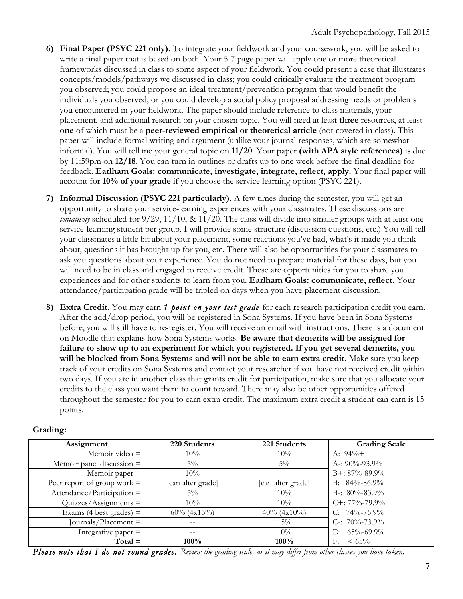- **6) Final Paper (PSYC 221 only).** To integrate your fieldwork and your coursework, you will be asked to write a final paper that is based on both. Your 5-7 page paper will apply one or more theoretical frameworks discussed in class to some aspect of your fieldwork. You could present a case that illustrates concepts/models/pathways we discussed in class; you could critically evaluate the treatment program you observed; you could propose an ideal treatment/prevention program that would benefit the individuals you observed; or you could develop a social policy proposal addressing needs or problems you encountered in your fieldwork. The paper should include reference to class materials, your placement, and additional research on your chosen topic. You will need at least **three** resources, at least **one** of which must be a **peer-reviewed empirical or theoretical article** (not covered in class). This paper will include formal writing and argument (unlike your journal responses, which are somewhat informal). You will tell me your general topic on **11/20**. Your paper **(with APA style references)** is due by 11:59pm on **12/18**. You can turn in outlines or drafts up to one week before the final deadline for feedback. **Earlham Goals: communicate, investigate, integrate, reflect, apply.** Your final paper will account for **10% of your grade** if you choose the service learning option (PSYC 221).
- **7) Informal Discussion (PSYC 221 particularly).** A few times during the semester, you will get an opportunity to share your service-learning experiences with your classmates. These discussions are *tentatively* scheduled for 9/29, 11/10, & 11/20. The class will divide into smaller groups with at least one service-learning student per group. I will provide some structure (discussion questions, etc.) You will tell your classmates a little bit about your placement, some reactions you've had, what's it made you think about, questions it has brought up for you, etc. There will also be opportunities for your classmates to ask you questions about your experience. You do not need to prepare material for these days, but you will need to be in class and engaged to receive credit. These are opportunities for you to share you experiences and for other students to learn from you. **Earlham Goals: communicate, reflect.** Your attendance/participation grade will be tripled on days when you have placement discussion.
- **8) Extra Credit.** You may earn *1 point on your test grade* for each research participation credit you earn. After the add/drop period, you will be registered in Sona Systems. If you have been in Sona Systems before, you will still have to re-register. You will receive an email with instructions. There is a document on Moodle that explains how Sona Systems works. **Be aware that demerits will be assigned for failure to show up to an experiment for which you registered. If you get several demerits, you will be blocked from Sona Systems and will not be able to earn extra credit.** Make sure you keep track of your credits on Sona Systems and contact your researcher if you have not received credit within two days. If you are in another class that grants credit for participation, make sure that you allocate your credits to the class you want them to count toward. There may also be other opportunities offered throughout the semester for you to earn extra credit. The maximum extra credit a student can earn is 15 points.

| Assignment                    | 220 Students      | 221 Students      | <b>Grading Scale</b> |
|-------------------------------|-------------------|-------------------|----------------------|
| Memoir video $=$              | 10%               | 10%               | A: $94\%+$           |
| Memoir panel discussion $=$   | $5\%$             | $5\%$             | A-: $90\% - 93.9\%$  |
| Memoir paper $=$              | $10\%$            | $\qquad \qquad -$ | $B+: 87\% - 89.9\%$  |
| Peer report of group work $=$ | [can alter grade] | [can alter grade] | B: $84\% - 86.9\%$   |
| $\text{Attention} =$          | $5\%$             | $10\%$            | B-: $80\% - 83.9\%$  |
| $Quizzes/Assigaments =$       | $10\%$            | $10\%$            | $C_{+}$ : 77%-79.9%  |
| Exams (4 best grades) $=$     | $60\%$ (4x15%)    | $40\%$ (4x10%)    | C: $74\% - 76.9\%$   |
| Journals/Placement =          | --                | 15%               | C-: $70\% - 73.9\%$  |
| Integrative paper $=$         | $\qquad \qquad -$ | $10\%$            | D: $65\% - 69.9\%$   |
| $Total =$                     | 100%              | 100%              | $\leq 65\%$<br>F:    |

#### **Grading:**

*Please note that I do not round grades. Review the grading scale, as it may differ from other classes you have taken.*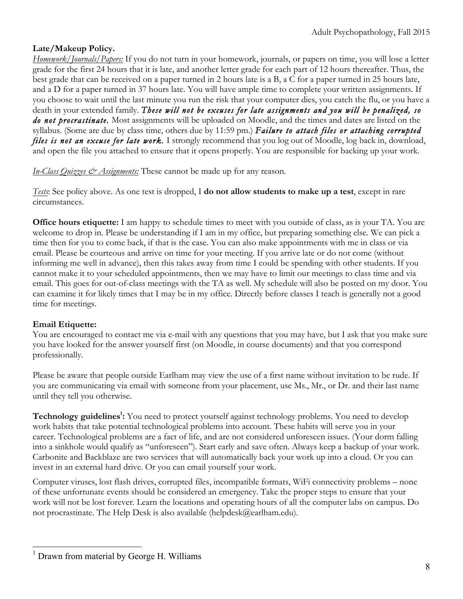# **Late/Makeup Policy.**

*Homework/Journals/Papers:* If you do not turn in your homework, journals, or papers on time, you will lose a letter grade for the first 24 hours that it is late, and another letter grade for each part of 12 hours thereafter. Thus, the best grade that can be received on a paper turned in 2 hours late is a B, a C for a paper turned in 25 hours late, and a D for a paper turned in 37 hours late. You will have ample time to complete your written assignments. If you choose to wait until the last minute you run the risk that your computer dies, you catch the flu, or you have a death in your extended family. *These will not be excuses for late assignments and you will be penalized, so do not procrastinate.* Most assignments will be uploaded on Moodle, and the times and dates are listed on the syllabus. (Some are due by class time, others due by 11:59 pm.) *Failure to attach files or attaching corrupted*  files is not an excuse for late work. I strongly recommend that you log out of Moodle, log back in, download, and open the file you attached to ensure that it opens properly. You are responsible for backing up your work.

*In-Class Quizzes & Assignments:* These cannot be made up for any reason.

*Tests*: See policy above. As one test is dropped, I **do not allow students to make up a test**, except in rare circumstances.

**Office hours etiquette:** I am happy to schedule times to meet with you outside of class, as is your TA. You are welcome to drop in. Please be understanding if I am in my office, but preparing something else. We can pick a time then for you to come back, if that is the case. You can also make appointments with me in class or via email. Please be courteous and arrive on time for your meeting. If you arrive late or do not come (without informing me well in advance), then this takes away from time I could be spending with other students. If you cannot make it to your scheduled appointments, then we may have to limit our meetings to class time and via email. This goes for out-of-class meetings with the TA as well. My schedule will also be posted on my door. You can examine it for likely times that I may be in my office. Directly before classes I teach is generally not a good time for meetings.

# **Email Etiquette:**

You are encouraged to contact me via e-mail with any questions that you may have, but I ask that you make sure you have looked for the answer yourself first (on Moodle, in course documents) and that you correspond professionally.

Please be aware that people outside Earlham may view the use of a first name without invitation to be rude. If you are communicating via email with someone from your placement, use Ms., Mr., or Dr. and their last name until they tell you otherwise.

Technology guidelines<sup>1</sup>: You need to protect yourself against technology problems. You need to develop work habits that take potential technological problems into account. These habits will serve you in your career. Technological problems are a fact of life, and are not considered unforeseen issues. (Your dorm falling into a sinkhole would qualify as "unforeseen"). Start early and save often. Always keep a backup of your work. Carbonite and Backblaze are two services that will automatically back your work up into a cloud. Or you can invest in an external hard drive. Or you can email yourself your work.

Computer viruses, lost flash drives, corrupted files, incompatible formats, WiFi connectivity problems – none of these unfortunate events should be considered an emergency. Take the proper steps to ensure that your work will not be lost forever. Learn the locations and operating hours of all the computer labs on campus. Do not procrastinate. The Help Desk is also available (helpdesk@earlham.edu).

 $<sup>1</sup>$  Drawn from material by George H. Williams</sup>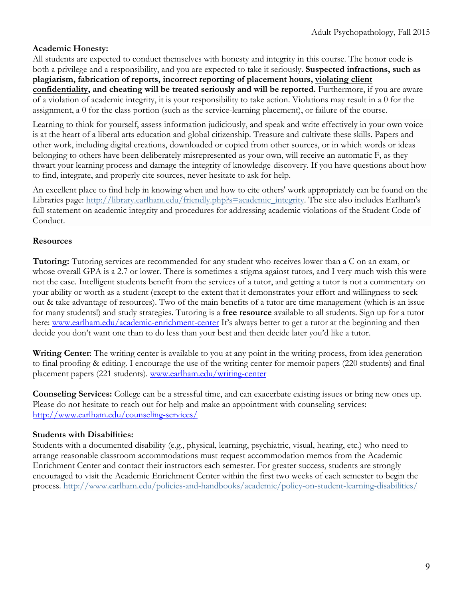### **Academic Honesty:**

All students are expected to conduct themselves with honesty and integrity in this course. The honor code is both a privilege and a responsibility, and you are expected to take it seriously. **Suspected infractions, such as plagiarism, fabrication of reports, incorrect reporting of placement hours, violating client confidentiality, and cheating will be treated seriously and will be reported.** Furthermore, if you are aware of a violation of academic integrity, it is your responsibility to take action. Violations may result in a 0 for the assignment, a 0 for the class portion (such as the service-learning placement), or failure of the course.

Learning to think for yourself, assess information judiciously, and speak and write effectively in your own voice is at the heart of a liberal arts education and global citizenship. Treasure and cultivate these skills. Papers and other work, including digital creations, downloaded or copied from other sources, or in which words or ideas belonging to others have been deliberately misrepresented as your own, will receive an automatic F, as they thwart your learning process and damage the integrity of knowledge-discovery. If you have questions about how to find, integrate, and properly cite sources, never hesitate to ask for help.

An excellent place to find help in knowing when and how to cite others' work appropriately can be found on the Libraries page: http://library.earlham.edu/friendly.php?s=academic\_integrity. The site also includes Earlham's full statement on academic integrity and procedures for addressing academic violations of the Student Code of Conduct.

### **Resources**

**Tutoring:** Tutoring services are recommended for any student who receives lower than a C on an exam, or whose overall GPA is a 2.7 or lower. There is sometimes a stigma against tutors, and I very much wish this were not the case. Intelligent students benefit from the services of a tutor, and getting a tutor is not a commentary on your ability or worth as a student (except to the extent that it demonstrates your effort and willingness to seek out & take advantage of resources). Two of the main benefits of a tutor are time management (which is an issue for many students!) and study strategies. Tutoring is a **free resource** available to all students. Sign up for a tutor here: www.earlham.edu/academic-enrichment-center It's always better to get a tutor at the beginning and then decide you don't want one than to do less than your best and then decide later you'd like a tutor.

**Writing Center**: The writing center is available to you at any point in the writing process, from idea generation to final proofing & editing. I encourage the use of the writing center for memoir papers (220 students) and final placement papers (221 students). www.earlham.edu/writing-center

**Counseling Services:** College can be a stressful time, and can exacerbate existing issues or bring new ones up. Please do not hesitate to reach out for help and make an appointment with counseling services: http://www.earlham.edu/counseling-services/

### **Students with Disabilities:**

Students with a documented disability (e.g., physical, learning, psychiatric, visual, hearing, etc.) who need to arrange reasonable classroom accommodations must request accommodation memos from the Academic Enrichment Center and contact their instructors each semester. For greater success, students are strongly encouraged to visit the Academic Enrichment Center within the first two weeks of each semester to begin the process. http://www.earlham.edu/policies-and-handbooks/academic/policy-on-student-learning-disabilities/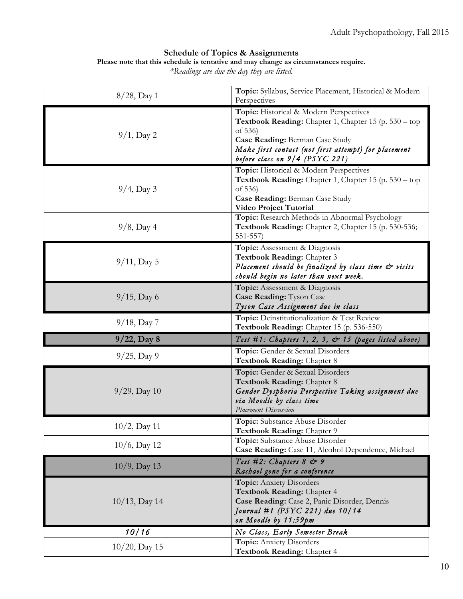#### **Schedule of Topics & Assignments**

**Please note that this schedule is tentative and may change as circumstances require.** 

*\*Readings are due the day they are listed.*

| $8/28$ , Day 1   | Topic: Syllabus, Service Placement, Historical & Modern<br>Perspectives                                                                                                                                                                  |  |
|------------------|------------------------------------------------------------------------------------------------------------------------------------------------------------------------------------------------------------------------------------------|--|
| $9/1$ , Day 2    | Topic: Historical & Modern Perspectives<br>Textbook Reading: Chapter 1, Chapter 15 (p. 530 – top<br>of 536)<br>Case Reading: Berman Case Study<br>Make first contact (not first attempt) for placement<br>before class on 9/4 (PSYC 221) |  |
| $9/4$ , Day 3    | Topic: Historical & Modern Perspectives<br>Textbook Reading: Chapter 1, Chapter 15 (p. 530 - top<br>of 536)<br>Case Reading: Berman Case Study<br>Video Project Tutorial                                                                 |  |
| $9/8$ , Day 4    | Topic: Research Methods in Abnormal Psychology<br>Textbook Reading: Chapter 2, Chapter 15 (p. 530-536;<br>$551 - 557$                                                                                                                    |  |
| $9/11$ , Day 5   | Topic: Assessment & Diagnosis<br>Textbook Reading: Chapter 3<br>Placement should be finalized by class time & visits<br>should begin no later than next week.                                                                            |  |
| $9/15$ , Day 6   | Topic: Assessment & Diagnosis<br>Case Reading: Tyson Case<br>Tyson Case Assignment due in class                                                                                                                                          |  |
| $9/18$ , Day 7   | Topic: Deinstitutionalization & Test Review<br>Textbook Reading: Chapter 15 (p. 536-550)                                                                                                                                                 |  |
| $9/22$ , Day 8   | Test #1: Chapters 1, 2, 3, $\mathcal{C}$ 15 (pages listed above)                                                                                                                                                                         |  |
| $9/25$ , Day 9   | Topic: Gender & Sexual Disorders<br>Textbook Reading: Chapter 8                                                                                                                                                                          |  |
| $9/29$ , Day 10  | Topic: Gender & Sexual Disorders<br>Textbook Reading: Chapter 8<br>Gender Dysphoria Perspective Taking assignment due<br>via Moodle by class time<br><b>Placement Discussion</b>                                                         |  |
| $10/2$ , Day 11  | <b>Topic:</b> Substance Abuse Disorder<br>Textbook Reading: Chapter 9                                                                                                                                                                    |  |
| $10/6$ , Day 12  | Topic: Substance Abuse Disorder<br>Case Reading: Case 11, Alcohol Dependence, Michael                                                                                                                                                    |  |
| $10/9$ , Day 13  | Test #2: Chapters 8 & 9<br>Rachael gone for a conference                                                                                                                                                                                 |  |
| $10/13$ , Day 14 | <b>Topic:</b> Anxiety Disorders<br>Textbook Reading: Chapter 4<br>Case Reading: Case 2, Panic Disorder, Dennis<br>Journal #1 (PSYC 221) due 10/14<br>on Moodle by 11:59pm                                                                |  |
| 10/16            | No Class, Early Semester Break                                                                                                                                                                                                           |  |
| $10/20$ , Day 15 | <b>Topic:</b> Anxiety Disorders<br>Textbook Reading: Chapter 4                                                                                                                                                                           |  |